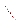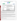## **THE ENVIRONMENTAL TECHNOLOGY VERIFICATION**







| <b>ETV Joint Verification Statement</b> |                                                                           |             |                                     |  |  |
|-----------------------------------------|---------------------------------------------------------------------------|-------------|-------------------------------------|--|--|
| <b>TECHNOLOGY TYPE:</b>                 | <b>ON-LINE NUTRIENT ANALYZER</b>                                          |             |                                     |  |  |
| <b>APPLICATION:</b>                     | NUTRIENT MONITORING AT AN INDUSTRIAL<br><b>WASTEWATER TREATMENT PLANT</b> |             |                                     |  |  |
| <b>TECHNOLOGY NAME:</b>                 | $TNPC-4110(C)$                                                            |             |                                     |  |  |
| <b>COMPANY:</b>                         | <b>Shimadzu Scientific Instruments, Inc.</b>                              |             |                                     |  |  |
| <b>ADDRESS:</b>                         | <b>7102 Riverwood Drive</b><br>Columbia, Maryland 21046                   | <b>FAX:</b> | PHONE: 410-381-1227<br>410-381-1222 |  |  |
| <b>WEB SITE:</b><br>$E\text{-}MAIL:$    | www.ssi.shimadzu.com<br>RHClifford@SHIMADZU.com                           |             |                                     |  |  |

The U.S. Environmental Protection Agency (EPA) supports the Environmental Technology Verification (ETV) Program to facilitate the deployment of innovative or improved environmental technologies through performance verification and dissemination of information. The goal of the ETV Program is to further environmental protection by accelerating the acceptance and use of improved and cost-effective technologies. ETV seeks to achieve this goal by providing high-quality, peer-reviewed data on technology performance to those involved in the design, distribution, financing, permitting, purchase, and use of environmental technologies. Information and ETV documents are available at www.epa.gov/etv.

ETV works in partnership with recognized standards and testing organizations, with stakeholder groups (consisting of buyers, vendor organizations, and permitters), and with individual technology developers. The program evaluates the performance of innovative technologies by developing test plans that are responsive to the needs of stakeholders, conducting field or laboratory tests (as appropriate), collecting and analyzing data, and preparing peer-reviewed reports. All evaluations are conducted in accordance with rigorous quality assurance (QA) protocols to ensure that data of known and adequate quality are generated and that the results are defensible.

The Advanced Monitoring Systems (AMS) Center, one of six verification centers under ETV, is operated by Battelle in cooperation with EPA's National Exposure Research Laboratory. In collaboration with the DuPont Company, the AMS Center evaluated the performance of nutrient monitors to measure water quality. This verification statement provides a summary of the test results for the Shimadzu Scientific Instruments, Inc., TNPC-4110(C) on-line water quality analyzer.

## **VERIFICATION TEST DESCRIPTION**

The objective of this verification test was to evaluate the  $TNPC-4110(C)$ 's performance in quantifying total nitrogen (TN) and total phosphorus (TP) concentrations in wastewater at an industrial wastewater treatment plant. The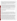verification test was conducted between May 5 and June 16, 2005, at the DuPont Company's industrial wastewater treatment facility at the Spruance Plant in Richmond, Virginia. At the Spruance Plant, DuPont manufactures engineering polymers/plastics and fibers (e.g., NOMEX<sup>®</sup> flame retardant and KEVLAR<sup>®</sup>). Operations Management International (OMI), Inc., operates the wastewater treatment plant under contract with DuPont and provided the dayto-day logistical support for this verification test. The wastewater from the Spruance Plant provided a single example of possible matrix effects associated with wastewater monitoring. The verification test was designed to evaluate accuracy, bias, linearity, limit of detection (LOD), reproducibility, span and zero drift, matrix effects, data completeness, and operational factors.

The test had two components: off-line testing (two phases) and on-line effluent monitoring. During off-line Phase I testing, the TNPC-4110(C) was challenged with multi-level nutrient standards and deionized (DI) water for TN and TP to determine its accuracy, bias, linearity, and LOD. The TNPC-4110(C) was challenged with additional nutrient standards for the determination of accuracy for several forms of nitrogen and phosphorus. Reproducibility was evaluated during off-line Phase I by repeatedly challenging the TNPC-4110(C) with a mixed standard containing potassium nitrate and potassium dihydrogenphosphate. To determine span and zero drift, once each week, DI water and the mixed nutrient standard were supplied to the TNPC-4110(C) for a total of five zero/span checks. During offline Phase I and Phase II testing, the TNPC-4110(C) was challenged with a series of samples containing altered matrices to determine matrix effects. In the on-line effluent monitoring phase, TNPC-4110(C) matrix effects were evaluated for the final effluent. Data completeness was assessed based on the overall data return, and operational factors were evaluated based on the observations of Battelle and OMI staff.

QA oversight of verification testing was provided by Battelle and EPA. Battelle QA staff conducted a technical systems audit, a performance evaluation audit, and a data quality audit of 10% of the test data. This verification statement, the full report on which it is based, and the test/QA plan for this verification test are all available at www.epa.gov/etv/centers/center1.html.

## **TECHNOLOGY DESCRIPTION**

The following description of the TNPC-4110(C) was provided by the vendor and does not represent verified information.

The TNPC-4110(C) is capable of analyzing or monitoring TN, TP, and total organic carbon (TOC). (TOC monitoring was not verified in this test, although measurements were conducted during on-line monitoring of effluent wastewater.) It can be used for nutrient monitoring and process control and automatically performs sampling, pretreatment (physical and chemical), digestion, and analysis. Calibration is required before starting measurements, and both off-line and automatic calibrations can be conducted. For automatic calibrations, an initial calibration is performed followed by additional calibrations during on-line measurement at specified intervals. For this verification test, automatic calibrations were performed every seven days.

Total phosphorus is measured using ozone as the oxidizer, with advanced photochemical oxidation, heat, sulfuric acid, and ultraviolet irradiation, leading to complete oxidation of the phosphorus in the sample. To ensure complete oxidation of the dissolved and particulate phosphates, the oxidation is performed at near boiling-water temperature. Sulfuric acid ammonium molybdate reacts with the phosphate ions, converting them to phosphomolybdate complex. The phosphomolybdate is then reduced, using ascorbic acid, to molybdenum blue. The intensity of the blue color is proportional to the phosphate concentration present in the sample. The minimum measurement cycle for TP is 43 minutes. Total nitrogen is measured using a catalytic combustion method, which involves the decomposition of nitrite, nitrate, ammonia, and organic nitrogen compounds into nitrogen monoxide at  $720^{\circ}$ C. The carrier gas containing the nitrogen monoxide is cooled and dehumidified using an electronic dehumidifier and passed to a chemiluminescence detector. Within the chemiluminescence detector, ozone is generated, which interacts with the nitrogen monoxide, producing excited nitrogen dioxide. A silicon diode is used to detect the light emitted from the excited molecules, which results in a signal that is proportional to the concentration of TN. The TN minimum measurement cycle is 4 minutes. Measurements can be conducted continuously (i.e., approximately every 4 minutes for TN only, every 43 minutes for TP only, or every 43 minutes for TN, TP, and TOC) or every 1, 2, 3, 4, 6, 12, or 24 hours. The TNPC-4110(C) can be configured to begin on-line measurements immediately or at a specified time.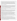During this verification test, on-line measurements were conducted at 1-hour intervals, and the nutrient measurement concentrations were output using the internal thermal printer. The TNPC-4110(C) consists of an automated pretreatment filtration system (optional), a multifunction injection system, an oxidation reactor vessel, and an absorbance detector, all in one unit for indoor installation. The dimensions of the TNPC-4110(C) are 980 millimeters (mm, 38.6 inches) in width, 1,560 mm (61.4 inches) in height, and 490 mm in depth (19.3 inches), excluding the pretreatment filtration system. It weighs approximately 100 kilograms (220 pounds) and costs \$34,000. For this verification test, the TNPC-4110(C) was equipped with a backwash strainer sample pretreatment unit, intended to prevent adhesion of contaminants, slime, and/or algae; backwashing the strainer prevents the strainer from clogging.

## **VERIFICATION OF PERFORMANCE**

**Accuracy:** The accuracy of the TNPC-4110(C) was assessed over the range of 0.5 to 20 milligrams per liter (mg/L) for TN and 0.5 to 5 mg/L for TP in terms of percent recovery (%R) relative to reference method measurements. TN (in the form of nitrate) %R values ranged from 109% to 140%, with an average of 131%. The TNPC-4110(C) %R values for TP (in the form of ortho-phosphate) ranged from 111% to 133%, with an average of 118%. TN accuracy for non-nitrate forms of nitrogen ranged from 31% to 129%. Organic and inorganic phosphorus resulted in %R values of 103% and 113%, respectively; the mixed phosphorus standard %R value was 110%. The TNPC-4110(C) %R values (TN and TP) for a certified simple nutrient standard ranged from 95% to 153% relative to the nominal concentration and from 110% to 178% relative to the reference method results.

**Bias:** Bias of +31% was observed for the TNPC-4110(C) TN measurements for standards containing nitrogen in the form of nitrate. For TP, the TNPC-4110(C) showed a bias of  $+18%$  for standards containing phosphorus in the form of dissolved, inorganic ortho-phosphate.

**Linearity:** Linearity was evaluated in terms of slope, intercept, and  $r^2$  over the range from 0 to 20 mg nitrogen per liter (N/L) for TN and 0 to 5 mg phosphorus per liter (P/L) for TP. The 95% confidence intervals for the slope and intercept of each regression were also calculated (and are shown in the following text in parenthesis). For TN, the slope of the regression line was 1.34 ( $\pm$  0.02), with an intercept of 0.03 ( $\pm$  0.22) and an r<sup>2</sup> value of 0.9998. For TP, the linear regression showed a slope of  $1.10 \ (\pm 0.02)$ , an intercept of 0.08 ( $\pm$  0.06), and an r<sup>2</sup> of 0.9996. Over the range of concentrations tested, the TNPC-4110(C) demonstrated a high degree of linearity.

**Limit of Detection:** The TNPC-4110(C) LOD for TN and TP were determined from 15 blank measurements conducted over the duration of the verification test. All of the TNPC-4110(C) TN measurements for DI water were 0.000 mg N/L. Thus, the average and standard deviation were also equal to zero, giving a detection limit of 0 mg N/L. Based on the consistent reporting of non-detects in the response to DI water blanks, it is suggested that a method detection limit be determined by the user for each sample matrix. The average TNPC-4110(C) TP measurement for DI water blanks was 0.044 mg P/L, with a standard deviation of 0.032 mg P/L, resulting in a TP LOD of 0.141 mg P/L for the range setting of 0 to 5 mg P/L, which uses a five-fold sample dilution. The vendorreported LOD for TNPC-4110(C) measurements using the lowest measurement range (0 to 0.5 mg P/L) is 0.01 mg P/L. Reference measurement results of the DI water used to challenge the TNPC-4110(C) were below the 0.05 mg P/L quantitation limit, with one exception.

**Reproducibility:** The reproducibility of the TNPC-4110(C) was evaluated as the % relative standard deviation from six replicate challenges of a mixed nutrient standard ( $\sim$ 5 mg N/L nitrate and  $\sim$ 3 mg P/L ortho-phosphate). The reproducibility for TNPC-4110(C) TN and TP measurements was 2% and 1%, respectively.

**Span and Zero Drift:** Drift, defined as three consecutive drift check results that fell either above or below the warning limit [average baseline response  $\pm 2$  standard deviations (SD)], was calculated for the TNPC-4110(C) span  $\sim$  5 mg N/L for TN and  $\sim$ 3 mg P/L for TP) response and zero response (to DI water). Drift did not occur in the TN and TP TNPC-4110(C) zero response to DI water blanks. Drift in the TN span response was not observed for the TNPC-4110(C); although four of five span drift check results were outside the warning limit, and the last span drift check result was 1.143 mg N/L greater than the average baseline response. The last three TP drift checks fell above the warning limit, indicating that drift occurred in the TNPC-4110(C) span response. The final TP drift check value was 0.073 mg P/L greater than the average baseline response.